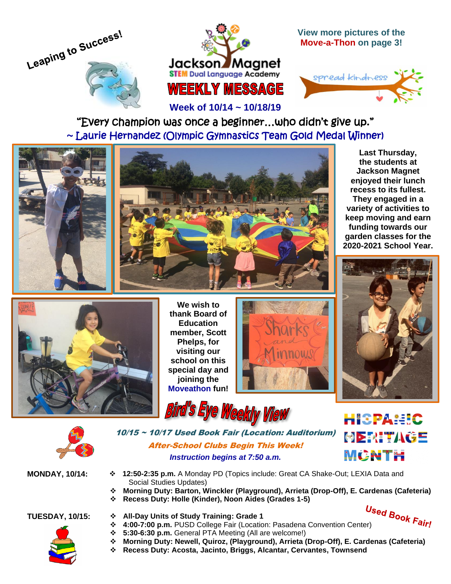



**View more pictures of the Move-a-Thon on page 3!**



"Every champion was once a beginner…who didn't give up." ~ Laurie Hernandez (Olympic Gymnastics Team Gold Medal Winner)

L

**Week of 10/14 ~ 10/18/19**



**Last Thursday, the students at Jackson Magnet enjoyed their lunch recess to its fullest. They engaged in a variety of activities to keep moving and earn funding towards our garden classes for the 2020-2021 School Year.**



**We wish to thank Board of Education member, Scott Phelps, for visiting our school on this special day and joining the Moveathon fun!**







10/15 ~ 10/17 Used Book Fair (Location: Auditorium) After-School Clubs Begin This Week! *Instruction begins at 7:50 a.m.*

Bird's Eye Weekly View



**MONDAY, 10/14:** ❖ **12:50-2:35 p.m.** A Monday PD (Topics include: Great CA Shake-Out; LEXIA Data and Social Studies Updates)

- ❖ **Morning Duty: Barton, Winckler (Playground), Arrieta (Drop-Off), E. Cardenas (Cafeteria)**
- ❖ **Recess Duty: Holle (Kinder), Noon Aides (Grades 1-5)**

- **TUESDAY, 10/15:** ❖ **All-Day Units of Study Training: Grade 1**
- ◆<br>**◆ All-Day Units of Study Training: Grade 1**<br>**◆ 4:00-7:00 p.m.** PUSD College Fair (Location: Pasadena Convention Center)
	- ❖ **5:30-6:30 p.m.** General PTA Meeting (All are welcome!)
	- ❖ **Morning Duty: Newell, Quiroz, (Playground), Arrieta (Drop-Off), E. Cardenas (Cafeteria)**
	- ❖ **Recess Duty: Acosta, Jacinto, Briggs, Alcantar, Cervantes, Townsend**

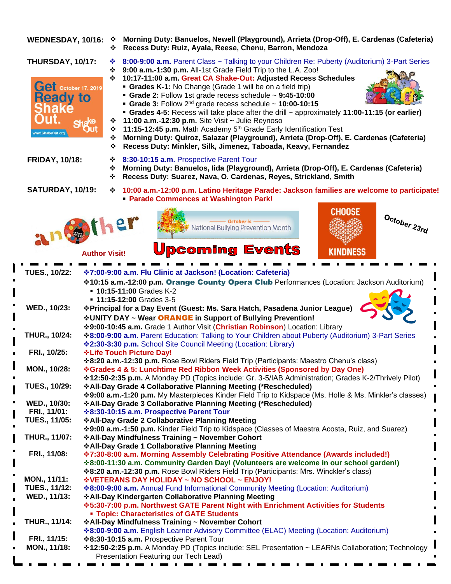**WEDNESDAY, 10/16:** ❖ **Morning Duty: Banuelos, Newell (Playground), Arrieta (Drop-Off), E. Cardenas (Cafeteria)** ❖ **Recess Duty: Ruiz, Ayala, Reese, Chenu, Barron, Mendoza**





- **THURSDAY, 10/17:** ❖ **8:00-9:00 a.m.** Parent Class ~ Talking to your Children Re: Puberty (Auditorium) 3-Part Series ❖ **9:00 a.m.-1:30 p.m.** All-1st Grade Field Trip to the L.A. Zoo!
	- ❖ **10:17-11:00 a.m. Great CA Shake-Out: Adjusted Recess Schedules**
		- **Grades K-1:** No Change (Grade 1 will be on a field trip)
			- **Grade 2:** Follow 1st grade recess schedule ~ **9:45-10:00**
			- **Grade 3:** Follow 2nd grade recess schedule ~ **10:00-10:15**
		- **Grades 4-5:** Recess will take place after the drill ~ approximately **11:00-11:15 (or earlier)**
	- ❖ **11:00 a.m.-12:30 p.m.** Site Visit ~ Julie Reynoso
	- ❖ **11:15-12:45 p.m.** Math Academy 5th Grade Early Identification Test
	- ❖ **Morning Duty: Quiroz, Salazar (Playground), Arrieta (Drop-Off), E. Cardenas (Cafeteria)**
	- ❖ **Recess Duty: Minkler, Silk, Jimenez, Taboada, Keavy, Fernandez**

**FRIDAY, 10/18:**

- ❖ **8:30-10:15 a.m.** Prospective Parent Tour
- ❖ **Morning Duty: Banuelos, Iida (Playground), Arrieta (Drop-Off), E. Cardenas (Cafeteria)**
- ❖ **Recess Duty: Suarez, Nava, O. Cardenas, Reyes, Strickland, Smith**

**SATURDAY, 10/19:**

❖ **10:00 a.m.-12:00 p.m. Latino Heritage Parade: Jackson families are welcome to participate!** ▪ **Parade Commences at Washington Park!**







## **Author Visit!**

| <b>TUES., 10/22:</b> | <b>☆7:00-9:00 a.m. Flu Clinic at Jackson! (Location: Cafeteria)</b>                                      |
|----------------------|----------------------------------------------------------------------------------------------------------|
|                      | <b>*10:15 a.m.-12:00 p.m. Orange County Opera Club</b> Performances (Location: Jackson Auditorium)       |
|                      | <b>10:15-11:00 Grades K-2</b>                                                                            |
|                      | <b>11:15-12:00 Grades 3-5</b>                                                                            |
| WED., 10/23:         | ❖ Principal for a Day Event (Guest: Ms. Sara Hatch, Pasadena Junior League)                              |
|                      | <b>∻UNITY DAY ~ Wear ORANGE in Support of Bullying Prevention!</b>                                       |
|                      | ❖ 9:00-10:45 a.m. Grade 1 Author Visit (Christian Robinson) Location: Library                            |
| THUR., 10/24:        | ❖8:00-9:00 a.m. Parent Education: Talking to Your Children about Puberty (Auditorium) 3-Part Series      |
|                      | <b>*2:30-3:30 p.m.</b> School Site Council Meeting (Location: Library)                                   |
| FRI., 10/25:         | <b>∻Life Touch Picture Day!</b>                                                                          |
|                      | *8:20 a.m.-12:30 p.m. Rose Bowl Riders Field Trip (Participants: Maestro Chenu's class)                  |
| MON., 10/28:         | *Grades 4 & 5: Lunchtime Red Ribbon Week Activities (Sponsored by Day One)                               |
|                      | *12:50-2:35 p.m. A Monday PD (Topics include: Gr. 3-5/IAB Administration; Grades K-2/Thrively Pilot)     |
| <b>TUES., 10/29:</b> | ❖ All-Day Grade 4 Collaborative Planning Meeting (*Rescheduled)                                          |
|                      | *9:00 a.m.-1:20 p.m. My Masterpieces Kinder Field Trip to Kidspace (Ms. Holle & Ms. Minkler's classes)   |
| WED., 10/30:         | ❖ All-Day Grade 3 Collaborative Planning Meeting (*Rescheduled)                                          |
| FRI., 11/01:         | <b>☆8:30-10:15 a.m. Prospective Parent Tour</b>                                                          |
| <b>TUES., 11/05:</b> | ❖ All-Day Grade 2 Collaborative Planning Meeting                                                         |
|                      | *9:00 a.m.-1:50 p.m. Kinder Field Trip to Kidspace (Classes of Maestra Acosta, Ruiz, and Suarez)         |
| THUR., 11/07:        | ❖ All-Day Mindfulness Training ~ November Cohort<br>❖ All-Day Grade 1 Collaborative Planning Meeting     |
| FRI., 11/08:         | ❖7:30-8:00 a.m. Morning Assembly Celebrating Positive Attendance (Awards included!)                      |
|                      | *8:00-11:30 a.m. Community Garden Day! (Volunteers are welcome in our school garden!)                    |
|                      | *8:20 a.m.-12:30 p.m. Rose Bowl Riders Field Trip (Participants: Mrs. Winckler's class)                  |
| MON., 11/11:         | *VETERANS DAY HOLIDAY ~ NO SCHOOL ~ ENJOY!                                                               |
| <b>TUES., 11/12:</b> | <b>*8:00-9:00 a.m.</b> Annual Fund Informational Community Meeting (Location: Auditorium)                |
| WED., 11/13:         | ❖ All-Day Kindergarten Collaborative Planning Meeting                                                    |
|                      | <b>*5:30-7:00 p.m. Northwest GATE Parent Night with Enrichment Activities for Students</b>               |
|                      | <b>- Topic: Characteristics of GATE Students</b>                                                         |
| <b>THUR., 11/14:</b> | ❖ All-Day Mindfulness Training ~ November Cohort                                                         |
|                      | <b>*8:00-9:00 a.m.</b> English Learner Advisory Committee (ELAC) Meeting (Location: Auditorium)          |
| FRI., 11/15:         | ❖8:30-10:15 a.m. Prospective Parent Tour                                                                 |
| MON., 11/18:         | <b>*12:50-2:25 p.m.</b> A Monday PD (Topics include: SEL Presentation ~ LEARNs Collaboration; Technology |
|                      | Presentation Featuring our Tech Lead)                                                                    |
|                      | . .                                                                                                      |